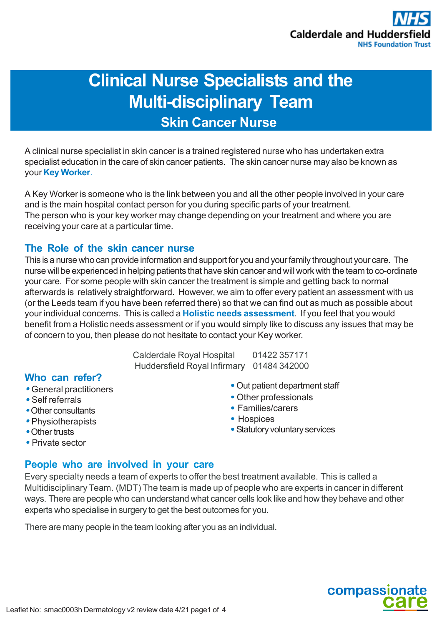

# **Clinical Nurse Specialists and the Multi-disciplinary Team Skin Cancer Nurse**

A clinical nurse specialist in skin cancer is a trained registered nurse who has undertaken extra specialist education in the care of skin cancer patients. The skin cancer nurse may also be known as your **Key Worker**.

A Key Worker is someone who is the link between you and all the other people involved in your care and is the main hospital contact person for you during specific parts of your treatment. The person who is your key worker may change depending on your treatment and where you are receiving your care at a particular time.

## **The Role of the skin cancer nurse**

This is a nurse who can provide information and support for you and your family throughout your care. The nurse will be experienced in helping patients that have skin cancer and will work with the team to co-ordinate your care. For some people with skin cancer the treatment is simple and getting back to normal afterwards is relatively straightforward. However, we aim to offer every patient an assessment with us (or the Leeds team if you have been referred there) so that we can find out as much as possible about your individual concerns. This is called a **Holistic needs assessment**. If you feel that you would benefit from a Holistic needs assessment or if you would simply like to discuss any issues that may be of concern to you, then please do not hesitate to contact your Key worker.

> Calderdale Royal Hospital 01422 357171 Huddersfield Royal Infirmary 01484 342000

#### **Who can refer?**

- *•* General practitioners
- *•* Self referrals
- *•* Other consultants
- *•* Physiotherapists
- *•* Other trusts
- *•* Private sector

## **People who are involved in your care**

Every specialty needs a team of experts to offer the best treatment available. This is called a Multidisciplinary Team. (MDT) The team is made up of people who are experts in cancer in different ways. There are people who can understand what cancer cells look like and how they behave and other experts who specialise in surgery to get the best outcomes for you.

There are many people in the team looking after you as an individual.

*•* Out patient department staff

- *•* Other professionals
- *•* Families/carers
- *•* Hospices
- *•* Statutory voluntary services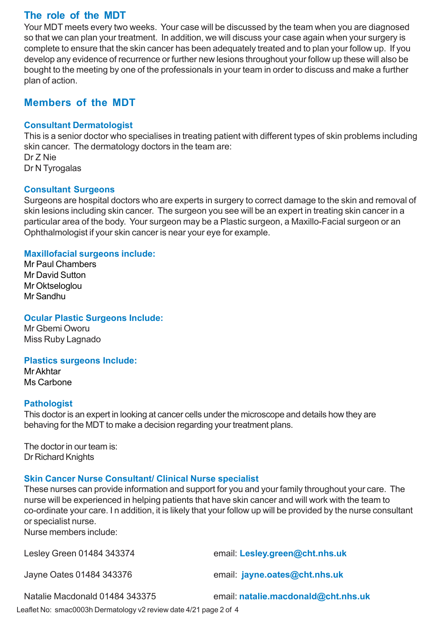### **The role of the MDT**

Your MDT meets every two weeks. Your case will be discussed by the team when you are diagnosed so that we can plan your treatment. In addition, we will discuss your case again when your surgery is complete to ensure that the skin cancer has been adequately treated and to plan your follow up. If you develop any evidence of recurrence or further new lesions throughout your follow up these will also be bought to the meeting by one of the professionals in your team in order to discuss and make a further plan of action.

## **Members of the MDT**

#### **Consultant Dermatologist**

This is a senior doctor who specialises in treating patient with different types of skin problems including skin cancer. The dermatology doctors in the team are: Dr Z Nie Dr N Tyrogalas

#### **Consultant Surgeons**

Surgeons are hospital doctors who are experts in surgery to correct damage to the skin and removal of skin lesions including skin cancer. The surgeon you see will be an expert in treating skin cancer in a particular area of the body. Your surgeon may be a Plastic surgeon, a Maxillo-Facial surgeon or an Ophthalmologist if your skin cancer is near your eye for example.

#### **Maxillofacial surgeons include:**

Mr Paul Chambers Mr David Sutton Mr Oktseloglou Mr Sandhu

#### **Ocular Plastic Surgeons Include:**

Mr Gbemi Oworu Miss Ruby Lagnado

#### **Plastics surgeons Include:**

Mr Akhtar Ms Carbone

#### **Pathologist**

This doctor is an expert in looking at cancer cells under the microscope and details how they are behaving for the MDT to make a decision regarding your treatment plans.

The doctor in our team is: Dr Richard Knights

#### **Skin Cancer Nurse Consultant/ Clinical Nurse specialist**

These nurses can provide information and support for you and your family throughout your care. The nurse will be experienced in helping patients that have skin cancer and will work with the team to co-ordinate your care. I n addition, it is likely that your follow up will be provided by the nurse consultant or specialist nurse.

Nurse members include:

| Lesley Green 01484 343374                                         | email: Lesley.green@cht.nhs.uk      |  |
|-------------------------------------------------------------------|-------------------------------------|--|
| Jayne Oates 01484 343376                                          | email: jayne.oates@cht.nhs.uk       |  |
| Natalie Macdonald 01484 343375                                    | email: natalie.macdonald@cht.nhs.uk |  |
| Leaflet No: smac0003h Dermatology v2 review date 4/21 page 2 of 4 |                                     |  |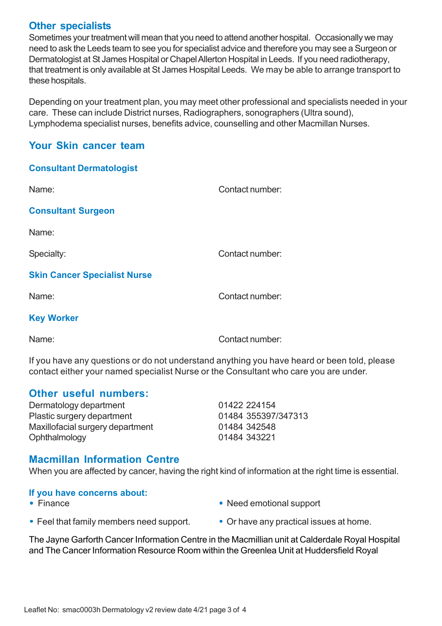## **Other specialists**

Sometimes your treatment will mean that you need to attend another hospital. Occasionally we may need to ask the Leeds team to see you for specialist advice and therefore you may see a Surgeon or Dermatologist at St James Hospital or Chapel Allerton Hospital in Leeds. If you need radiotherapy, that treatment is only available at St James Hospital Leeds. We may be able to arrange transport to these hospitals.

Depending on your treatment plan, you may meet other professional and specialists needed in your care. These can include District nurses, Radiographers, sonographers (Ultra sound), Lymphodema specialist nurses, benefits advice, counselling and other Macmillan Nurses.

## **Your Skin cancer team**

| <b>Consultant Dermatologist</b>     |                 |
|-------------------------------------|-----------------|
| Name:                               | Contact number: |
| <b>Consultant Surgeon</b>           |                 |
| Name:                               |                 |
| Specialty:                          | Contact number: |
| <b>Skin Cancer Specialist Nurse</b> |                 |
| Name:                               | Contact number: |
| <b>Key Worker</b>                   |                 |

Name: Contact number:

If you have any questions or do not understand anything you have heard or been told, please contact either your named specialist Nurse or the Consultant who care you are under.

## **Other useful numbers:**

Dermatology department 01422 224154 Plastic surgery department 01484 355397/347313 Maxillofacial surgery department 01484 342548 Ophthalmology 01484 343221

## **Macmillan Information Centre**

When you are affected by cancer, having the right kind of information at the right time is essential.

#### **If you have concerns about:**

- *•* Finance *•* Need emotional support
- *•* Feel that family members need support. *•* Or have any practical issues at home.
- 

The Jayne Garforth Cancer Information Centre in the Macmillian unit at Calderdale Royal Hospital and The Cancer Information Resource Room within the Greenlea Unit at Huddersfield Royal